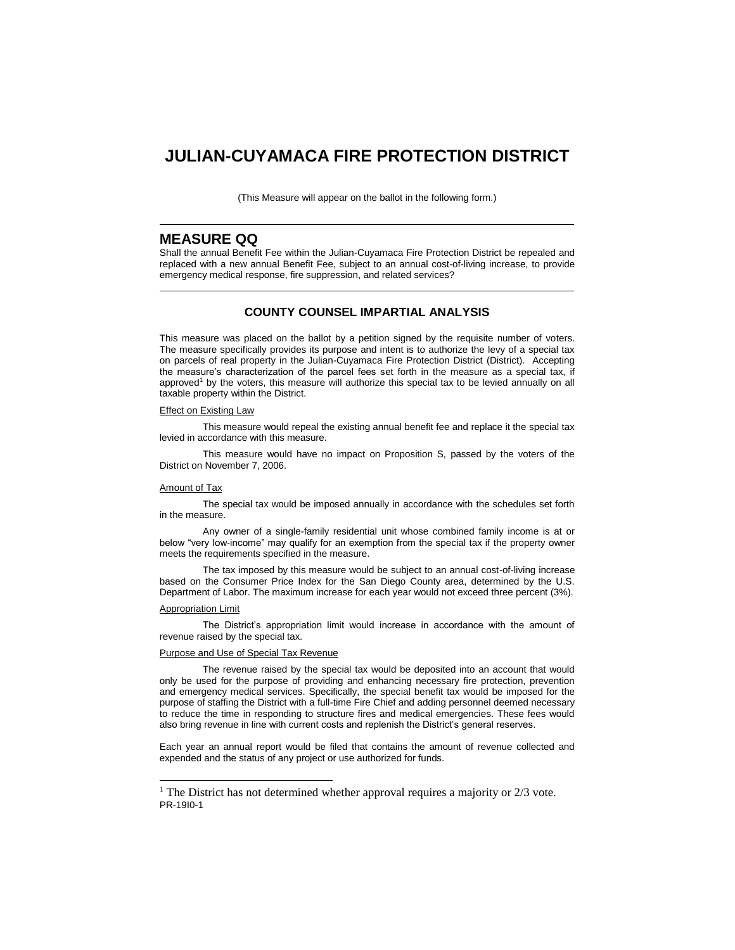# **JULIAN-CUYAMACA FIRE PROTECTION DISTRICT**

(This Measure will appear on the ballot in the following form.)

# **MEASURE QQ**

Shall the annual Benefit Fee within the Julian-Cuyamaca Fire Protection District be repealed and replaced with a new annual Benefit Fee, subject to an annual cost-of-living increase, to provide emergency medical response, fire suppression, and related services?

# **COUNTY COUNSEL IMPARTIAL ANALYSIS**

This measure was placed on the ballot by a petition signed by the requisite number of voters. The measure specifically provides its purpose and intent is to authorize the levy of a special tax on parcels of real property in the Julian-Cuyamaca Fire Protection District (District). Accepting the measure's characterization of the parcel fees set forth in the measure as a special tax, if approved<sup>1</sup> by the voters, this measure will authorize this special tax to be levied annually on all taxable property within the District.

#### **Effect on Existing Law**

This measure would repeal the existing annual benefit fee and replace it the special tax levied in accordance with this measure.

This measure would have no impact on Proposition S, passed by the voters of the District on November 7, 2006.

#### Amount of Tax

The special tax would be imposed annually in accordance with the schedules set forth in the measure.

Any owner of a single-family residential unit whose combined family income is at or below "very low-income" may qualify for an exemption from the special tax if the property owner meets the requirements specified in the measure.

The tax imposed by this measure would be subject to an annual cost-of-living increase based on the Consumer Price Index for the San Diego County area, determined by the U.S. Department of Labor. The maximum increase for each year would not exceed three percent (3%).

#### Appropriation Limit

l

The District's appropriation limit would increase in accordance with the amount of revenue raised by the special tax.

#### Purpose and Use of Special Tax Revenue

The revenue raised by the special tax would be deposited into an account that would only be used for the purpose of providing and enhancing necessary fire protection, prevention and emergency medical services. Specifically, the special benefit tax would be imposed for the purpose of staffing the District with a full-time Fire Chief and adding personnel deemed necessary to reduce the time in responding to structure fires and medical emergencies. These fees would also bring revenue in line with current costs and replenish the District's general reserves.

Each year an annual report would be filed that contains the amount of revenue collected and expended and the status of any project or use authorized for funds.

PR-19I0-1 <sup>1</sup> The District has not determined whether approval requires a majority or  $2/3$  vote.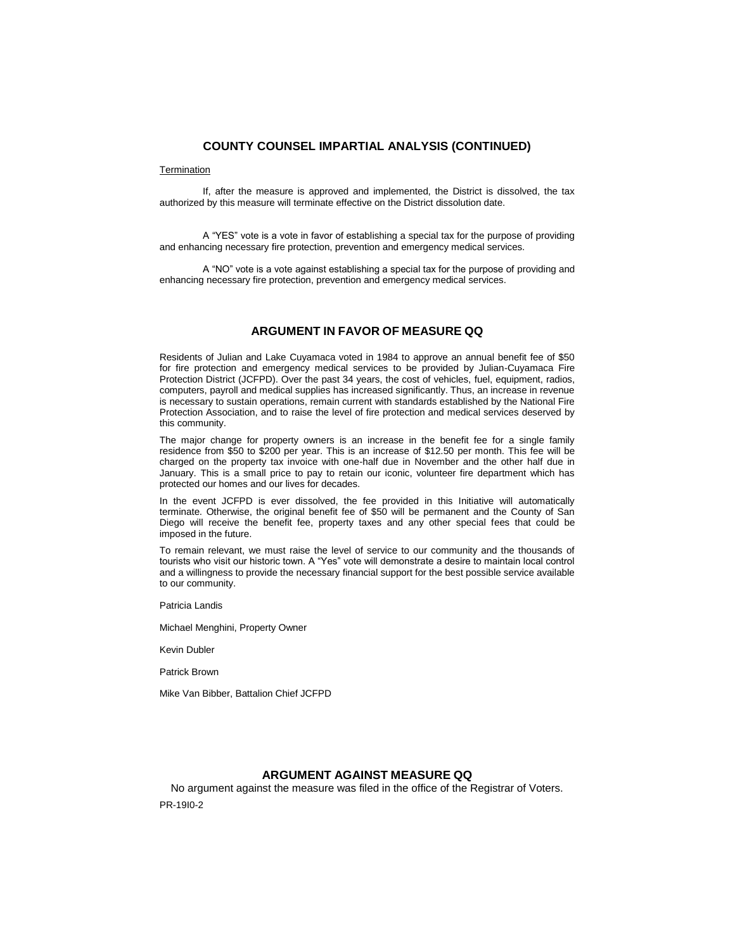### **COUNTY COUNSEL IMPARTIAL ANALYSIS (CONTINUED)**

#### **Termination**

If, after the measure is approved and implemented, the District is dissolved, the tax authorized by this measure will terminate effective on the District dissolution date.

A "YES" vote is a vote in favor of establishing a special tax for the purpose of providing and enhancing necessary fire protection, prevention and emergency medical services.

A "NO" vote is a vote against establishing a special tax for the purpose of providing and enhancing necessary fire protection, prevention and emergency medical services.

# **ARGUMENT IN FAVOR OF MEASURE QQ**

Residents of Julian and Lake Cuyamaca voted in 1984 to approve an annual benefit fee of \$50 for fire protection and emergency medical services to be provided by Julian-Cuyamaca Fire Protection District (JCFPD). Over the past 34 years, the cost of vehicles, fuel, equipment, radios, computers, payroll and medical supplies has increased significantly. Thus, an increase in revenue is necessary to sustain operations, remain current with standards established by the National Fire Protection Association, and to raise the level of fire protection and medical services deserved by this community.

The major change for property owners is an increase in the benefit fee for a single family residence from \$50 to \$200 per year. This is an increase of \$12.50 per month. This fee will be charged on the property tax invoice with one-half due in November and the other half due in January. This is a small price to pay to retain our iconic, volunteer fire department which has protected our homes and our lives for decades.

In the event JCFPD is ever dissolved, the fee provided in this Initiative will automatically terminate. Otherwise, the original benefit fee of \$50 will be permanent and the County of San Diego will receive the benefit fee, property taxes and any other special fees that could be imposed in the future.

To remain relevant, we must raise the level of service to our community and the thousands of tourists who visit our historic town. A "Yes" vote will demonstrate a desire to maintain local control and a willingness to provide the necessary financial support for the best possible service available to our community.

Patricia Landis

Michael Menghini, Property Owner

Kevin Dubler

Patrick Brown

Mike Van Bibber, Battalion Chief JCFPD

# **ARGUMENT AGAINST MEASURE QQ**

PR-19I0-2 No argument against the measure was filed in the office of the Registrar of Voters.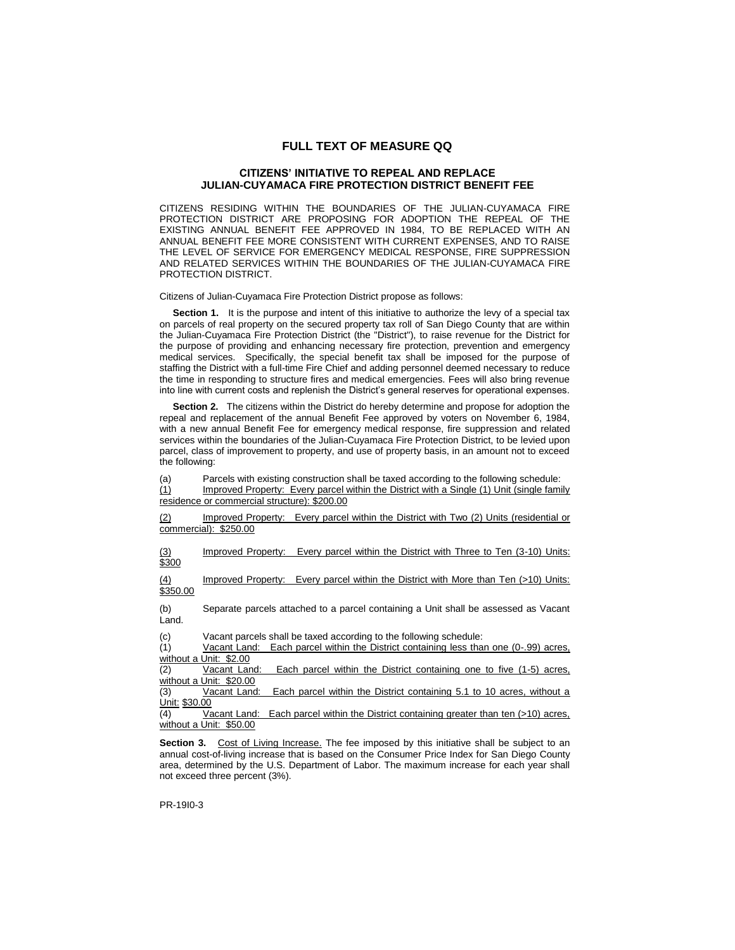### **FULL TEXT OF MEASURE QQ**

#### **CITIZENS' INITIATIVE TO REPEAL AND REPLACE JULIAN-CUYAMACA FIRE PROTECTION DISTRICT BENEFIT FEE**

CITIZENS RESIDING WITHIN THE BOUNDARIES OF THE JULIAN-CUYAMACA FIRE PROTECTION DISTRICT ARE PROPOSING FOR ADOPTION THE REPEAL OF THE EXISTING ANNUAL BENEFIT FEE APPROVED IN 1984, TO BE REPLACED WITH AN ANNUAL BENEFIT FEE MORE CONSISTENT WITH CURRENT EXPENSES, AND TO RAISE THE LEVEL OF SERVICE FOR EMERGENCY MEDICAL RESPONSE, FIRE SUPPRESSION AND RELATED SERVICES WITHIN THE BOUNDARIES OF THE JULIAN-CUYAMACA FIRE PROTECTION DISTRICT.

Citizens of Julian-Cuyamaca Fire Protection District propose as follows:

**Section 1.** It is the purpose and intent of this initiative to authorize the levy of a special tax on parcels of real property on the secured property tax roll of San Diego County that are within the Julian-Cuyamaca Fire Protection District (the "District"), to raise revenue for the District for the purpose of providing and enhancing necessary fire protection, prevention and emergency medical services. Specifically, the special benefit tax shall be imposed for the purpose of staffing the District with a full-time Fire Chief and adding personnel deemed necessary to reduce the time in responding to structure fires and medical emergencies. Fees will also bring revenue into line with current costs and replenish the District's general reserves for operational expenses.

 **Section 2.** The citizens within the District do hereby determine and propose for adoption the repeal and replacement of the annual Benefit Fee approved by voters on November 6, 1984, with a new annual Benefit Fee for emergency medical response, fire suppression and related services within the boundaries of the Julian-Cuyamaca Fire Protection District, to be levied upon parcel, class of improvement to property, and use of property basis, in an amount not to exceed the following:

(a) Parcels with existing construction shall be taxed according to the following schedule:

(1) Improved Property: Every parcel within the District with a Single (1) Unit (single family residence or commercial structure): \$200.00

(2) Improved Property: Every parcel within the District with Two (2) Units (residential or commercial): \$250.00

Improved Property: Every parcel within the District with Three to Ten (3-10) Units:  $\frac{(3)}{$300}$ 

(4) Improved Property: Every parcel within the District with More than Ten (>10) Units: \$350.00

(b) Separate parcels attached to a parcel containing a Unit shall be assessed as Vacant Land.

(c) Vacant parcels shall be taxed according to the following schedule:

(1) Vacant Land: Each parcel within the District containing less than one (0-.99) acres, without a Unit: \$2.00

(2) Vacant Land: Each parcel within the District containing one to five (1-5) acres, without a Unit: \$20.00

(3) Vacant Land: Each parcel within the District containing 5.1 to 10 acres, without a Unit: \$30.00

 $\overline{(4)}$  Vacant Land: Each parcel within the District containing greater than ten (>10) acres, without a Unit: \$50.00

**Section 3.** Cost of Living Increase. The fee imposed by this initiative shall be subject to an annual cost-of-living increase that is based on the Consumer Price Index for San Diego County area, determined by the U.S. Department of Labor. The maximum increase for each year shall not exceed three percent (3%).

PR-19I0-3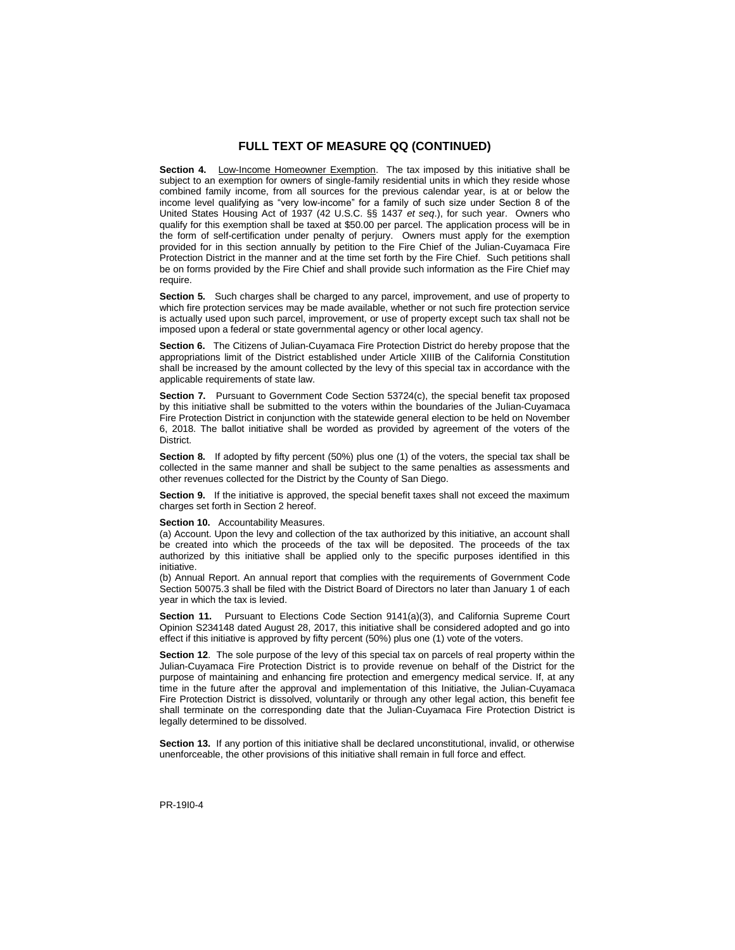# **FULL TEXT OF MEASURE QQ (CONTINUED)**

**Section 4.** Low-Income Homeowner Exemption. The tax imposed by this initiative shall be subject to an exemption for owners of single-family residential units in which they reside whose combined family income, from all sources for the previous calendar year, is at or below the income level qualifying as "very low-income" for a family of such size under Section 8 of the United States Housing Act of 1937 (42 U.S.C. §§ 1437 *et seq*.), for such year. Owners who qualify for this exemption shall be taxed at \$50.00 per parcel. The application process will be in the form of self-certification under penalty of perjury. Owners must apply for the exemption provided for in this section annually by petition to the Fire Chief of the Julian-Cuyamaca Fire Protection District in the manner and at the time set forth by the Fire Chief. Such petitions shall be on forms provided by the Fire Chief and shall provide such information as the Fire Chief may require.

**Section 5.** Such charges shall be charged to any parcel, improvement, and use of property to which fire protection services may be made available, whether or not such fire protection service is actually used upon such parcel, improvement, or use of property except such tax shall not be imposed upon a federal or state governmental agency or other local agency.

**Section 6.** The Citizens of Julian-Cuyamaca Fire Protection District do hereby propose that the appropriations limit of the District established under Article XIIIB of the California Constitution shall be increased by the amount collected by the levy of this special tax in accordance with the applicable requirements of state law.

**Section 7.** Pursuant to Government Code Section 53724(c), the special benefit tax proposed by this initiative shall be submitted to the voters within the boundaries of the Julian-Cuyamaca Fire Protection District in conjunction with the statewide general election to be held on November 6, 2018. The ballot initiative shall be worded as provided by agreement of the voters of the District.

**Section 8.** If adopted by fifty percent (50%) plus one (1) of the voters, the special tax shall be collected in the same manner and shall be subject to the same penalties as assessments and other revenues collected for the District by the County of San Diego.

**Section 9.** If the initiative is approved, the special benefit taxes shall not exceed the maximum charges set forth in Section 2 hereof.

#### **Section 10.** Accountability Measures.

(a) Account. Upon the levy and collection of the tax authorized by this initiative, an account shall be created into which the proceeds of the tax will be deposited. The proceeds of the tax authorized by this initiative shall be applied only to the specific purposes identified in this initiative.

(b) Annual Report. An annual report that complies with the requirements of Government Code Section 50075.3 shall be filed with the District Board of Directors no later than January 1 of each year in which the tax is levied.

**Section 11.** Pursuant to Elections Code Section 9141(a)(3), and California Supreme Court Opinion S234148 dated August 28, 2017, this initiative shall be considered adopted and go into effect if this initiative is approved by fifty percent (50%) plus one (1) vote of the voters.

**Section 12**. The sole purpose of the levy of this special tax on parcels of real property within the Julian-Cuyamaca Fire Protection District is to provide revenue on behalf of the District for the purpose of maintaining and enhancing fire protection and emergency medical service. If, at any time in the future after the approval and implementation of this Initiative, the Julian-Cuyamaca Fire Protection District is dissolved, voluntarily or through any other legal action, this benefit fee shall terminate on the corresponding date that the Julian-Cuyamaca Fire Protection District is legally determined to be dissolved.

**Section 13.** If any portion of this initiative shall be declared unconstitutional, invalid, or otherwise unenforceable, the other provisions of this initiative shall remain in full force and effect.